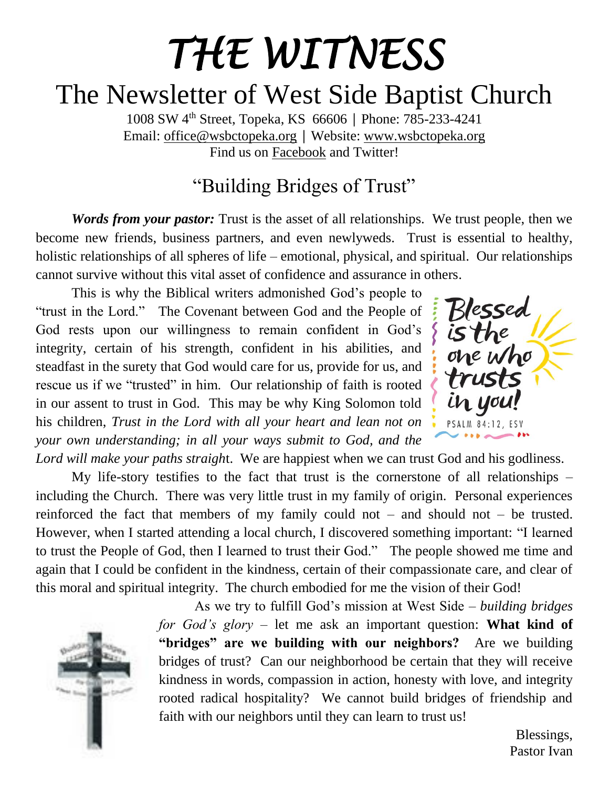# *THE WITNESS*  The Newsletter of West Side Baptist Church

1008 SW 4th Street, Topeka, KS 66606 │ Phone: 785-233-4241 Email: [office@wsbctopeka.org](mailto:office@wsbctopeka.org) │ Website: [www.wsbctopeka.org](http://www.wsbctopeka.org/)  Find us on [Facebook](https://www.facebook.com/West-Side-Baptist-Church-of-Topeka-Kansas-152190384801974/) and Twitter!

### "Building Bridges of Trust"

*Words from your pastor:* Trust is the asset of all relationships. We trust people, then we become new friends, business partners, and even newlyweds. Trust is essential to healthy, holistic relationships of all spheres of life – emotional, physical, and spiritual. Our relationships cannot survive without this vital asset of confidence and assurance in others.

This is why the Biblical writers admonished God's people to "trust in the Lord." The Covenant between God and the People of God rests upon our willingness to remain confident in God's integrity, certain of his strength, confident in his abilities, and steadfast in the surety that God would care for us, provide for us, and rescue us if we "trusted" in him. Our relationship of faith is rooted in our assent to trust in God. This may be why King Solomon told his children, *Trust in the Lord with all your heart and lean not on your own understanding; in all your ways submit to God, and the* 

one who trusts in you **PSALM 84:12, ESV** 

*Lord will make your paths straigh*t. We are happiest when we can trust God and his godliness.

My life-story testifies to the fact that trust is the cornerstone of all relationships – including the Church. There was very little trust in my family of origin. Personal experiences reinforced the fact that members of my family could not – and should not – be trusted. However, when I started attending a local church, I discovered something important: "I learned to trust the People of God, then I learned to trust their God." The people showed me time and again that I could be confident in the kindness, certain of their compassionate care, and clear of this moral and spiritual integrity. The church embodied for me the vision of their God!



As we try to fulfill God's mission at West Side – *building bridges for God's glory* – let me ask an important question: **What kind of "bridges" are we building with our neighbors?** Are we building bridges of trust? Can our neighborhood be certain that they will receive kindness in words, compassion in action, honesty with love, and integrity rooted radical hospitality? We cannot build bridges of friendship and faith with our neighbors until they can learn to trust us!

> Blessings, Pastor Ivan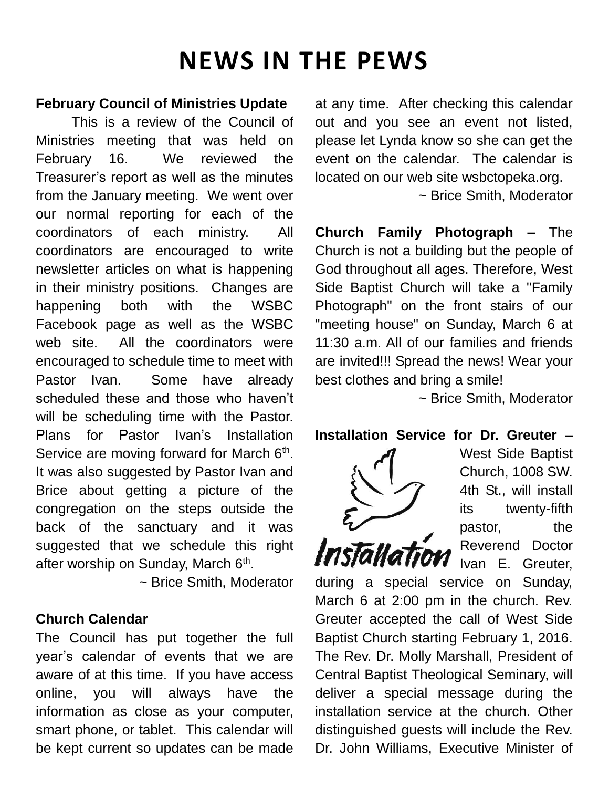## **NEWS IN THE PEWS**

#### **February Council of Ministries Update**

This is a review of the Council of Ministries meeting that was held on February 16. We reviewed the Treasurer's report as well as the minutes from the January meeting. We went over our normal reporting for each of the coordinators of each ministry. All coordinators are encouraged to write newsletter articles on what is happening in their ministry positions. Changes are happening both with the WSBC Facebook page as well as the WSBC web site. All the coordinators were encouraged to schedule time to meet with Pastor Ivan. Some have already scheduled these and those who haven't will be scheduling time with the Pastor. Plans for Pastor Ivan's Installation Service are moving forward for March 6<sup>th</sup>. It was also suggested by Pastor Ivan and Brice about getting a picture of the congregation on the steps outside the back of the sanctuary and it was suggested that we schedule this right after worship on Sunday, March 6<sup>th</sup>.

~ Brice Smith, Moderator

#### **Church Calendar**

The Council has put together the full year's calendar of events that we are aware of at this time. If you have access online, you will always have the information as close as your computer, smart phone, or tablet. This calendar will be kept current so updates can be made at any time. After checking this calendar out and you see an event not listed, please let Lynda know so she can get the event on the calendar. The calendar is located on our web site wsbctopeka.org. ~ Brice Smith, Moderator

**Church Family Photograph –** The Church is not a building but the people of God throughout all ages. Therefore, West Side Baptist Church will take a "Family Photograph" on the front stairs of our "meeting house" on Sunday, March 6 at 11:30 a.m. All of our families and friends are invited!!! Spread the news! Wear your best clothes and bring a smile!

~ Brice Smith, Moderator

#### **Installation Service for Dr. Greuter –**



West Side Baptist Church, 1008 SW. 4th St., will install its twenty-fifth pastor, the Reverend Doctor Ivan E. Greuter,

during a special service on Sunday, March 6 at 2:00 pm in the church. Rev. Greuter accepted the call of West Side Baptist Church starting February 1, 2016. The Rev. Dr. Molly Marshall, President of Central Baptist Theological Seminary, will deliver a special message during the installation service at the church. Other distinguished guests will include the Rev. Dr. John Williams, Executive Minister of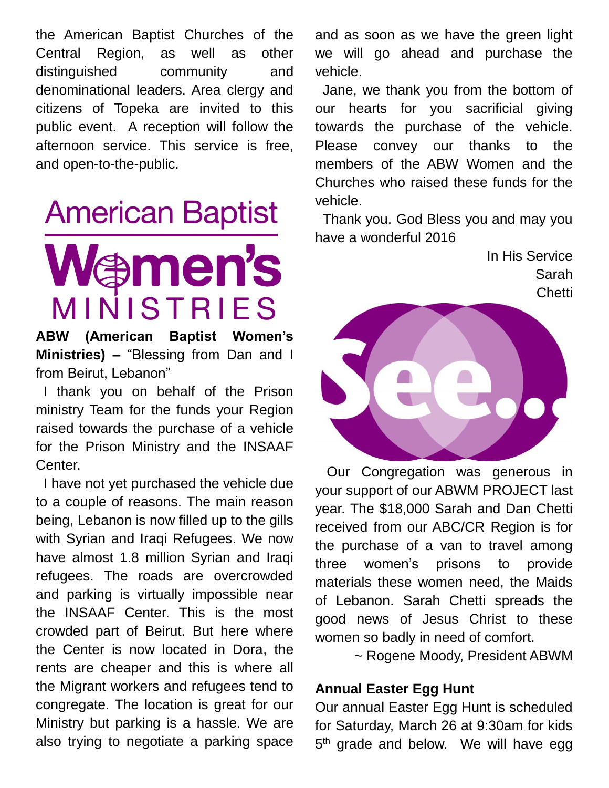the American Baptist Churches of the Central Region, as well as other distinguished community and denominational leaders. Area clergy and citizens of Topeka are invited to this public event. A reception will follow the afternoon service. This service is free, and open-to-the-public.

# **American Baptist** men's INISTRIES

**ABW (American Baptist Women's Ministries) –** "Blessing from Dan and I from Beirut, Lebanon"

 I thank you on behalf of the Prison ministry Team for the funds your Region raised towards the purchase of a vehicle for the Prison Ministry and the INSAAF Center.

 I have not yet purchased the vehicle due to a couple of reasons. The main reason being, Lebanon is now filled up to the gills with Syrian and Iraqi Refugees. We now have almost 1.8 million Syrian and Iraqi refugees. The roads are overcrowded and parking is virtually impossible near the INSAAF Center. This is the most crowded part of Beirut. But here where the Center is now located in Dora, the rents are cheaper and this is where all the Migrant workers and refugees tend to congregate. The location is great for our Ministry but parking is a hassle. We are also trying to negotiate a parking space

and as soon as we have the green light we will go ahead and purchase the vehicle.

 Jane, we thank you from the bottom of our hearts for you sacrificial giving towards the purchase of the vehicle. Please convey our thanks to the members of the ABW Women and the Churches who raised these funds for the vehicle.

 Thank you. God Bless you and may you have a wonderful 2016

> In His Service Sarah **Chetti**



 Our Congregation was generous in your support of our ABWM PROJECT last year. The \$18,000 Sarah and Dan Chetti received from our ABC/CR Region is for the purchase of a van to travel among three women's prisons to provide materials these women need, the Maids of Lebanon. Sarah Chetti spreads the good news of Jesus Christ to these women so badly in need of comfort.

~ Rogene Moody, President ABWM

#### **Annual Easter Egg Hunt**

Our annual Easter Egg Hunt is scheduled for Saturday, March 26 at 9:30am for kids 5<sup>th</sup> grade and below. We will have egg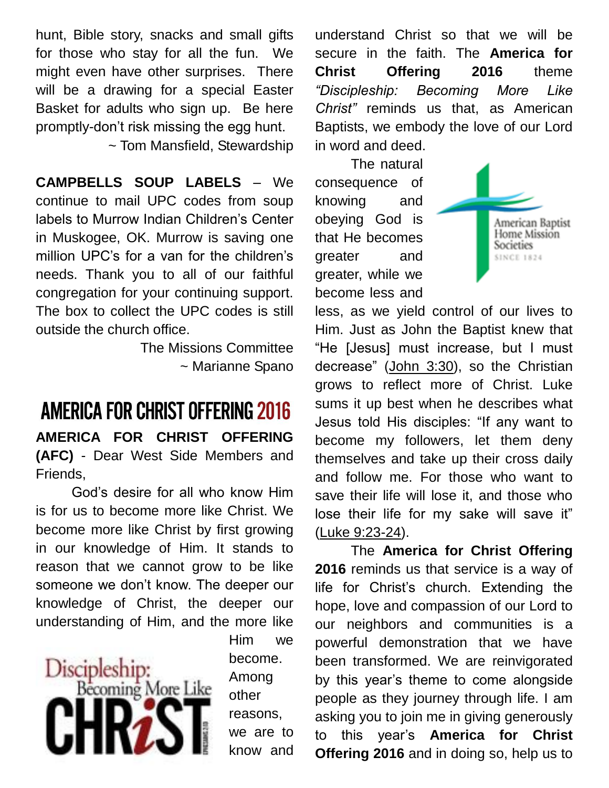hunt, Bible story, snacks and small gifts for those who stay for all the fun. We might even have other surprises. There will be a drawing for a special Easter Basket for adults who sign up. Be here promptly-don't risk missing the egg hunt.

~ Tom Mansfield, Stewardship

**CAMPBELLS SOUP LABELS** – We continue to mail UPC codes from soup labels to Murrow Indian Children's Center in Muskogee, OK. Murrow is saving one million UPC's for a van for the children's needs. Thank you to all of our faithful congregation for your continuing support. The box to collect the UPC codes is still outside the church office.

> The Missions Committee ~ Marianne Spano

### **AMERICA FOR CHRIST OFFERING 2016**

**AMERICA FOR CHRIST OFFERING (AFC)** - Dear West Side Members and Friends,

God's desire for all who know Him is for us to become more like Christ. We become more like Christ by first growing in our knowledge of Him. It stands to reason that we cannot grow to be like someone we don't know. The deeper our knowledge of Christ, the deeper our understanding of Him, and the more like



Him we become. Among other reasons, we are to know and understand Christ so that we will be secure in the faith. The **America for Christ Offering 2016** theme *"Discipleship: Becoming More Like Christ"* reminds us that, as American Baptists, we embody the love of our Lord in word and deed.

The natural consequence of knowing and obeying God is that He becomes greater and greater, while we become less and



less, as we yield control of our lives to Him. Just as John the Baptist knew that "He [Jesus] must increase, but I must decrease" [\(John 3:30\)](http://biblia.com/bible/esv/John%203.30), so the Christian grows to reflect more of Christ. Luke sums it up best when he describes what Jesus told His disciples: "If any want to become my followers, let them deny themselves and take up their cross daily and follow me. For those who want to save their life will lose it, and those who lose their life for my sake will save it" [\(Luke 9:23-24\)](http://biblia.com/bible/esv/Luke%209.23-24).

The **America for Christ Offering 2016** reminds us that service is a way of life for Christ's church. Extending the hope, love and compassion of our Lord to our neighbors and communities is a powerful demonstration that we have been transformed. We are reinvigorated by this year's theme to come alongside people as they journey through life. I am asking you to join me in giving generously to this year's **America for Christ Offering 2016** and in doing so, help us to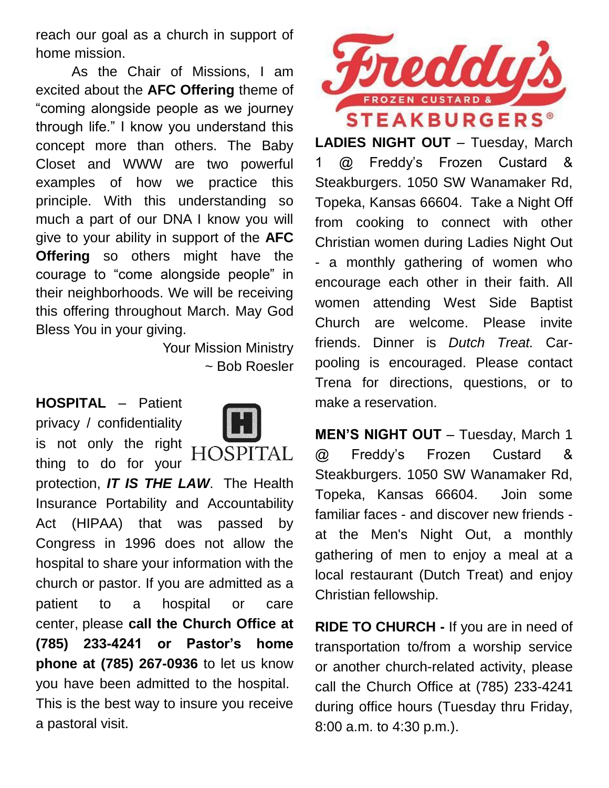reach our goal as a church in support of home mission.

As the Chair of Missions, I am excited about the **AFC Offering** theme of "coming alongside people as we journey through life." I know you understand this concept more than others. The Baby Closet and WWW are two powerful examples of how we practice this principle. With this understanding so much a part of our DNA I know you will give to your ability in support of the **AFC Offering** so others might have the courage to "come alongside people" in their neighborhoods. We will be receiving this offering throughout March. May God Bless You in your giving.

> Your Mission Ministry ~ Bob Roesler

**HOSPITAL** – Patient privacy / confidentiality is not only the right **HOSI** thing to do for your protection, *IT IS THE LAW*. The Health Insurance Portability and Accountability Act (HIPAA) that was passed by Congress in 1996 does not allow the hospital to share your information with the church or pastor. If you are admitted as a patient to a hospital or care center, please **call the Church Office at (785) 233-4241 or Pastor's home phone at (785) 267-0936** to let us know you have been admitted to the hospital. This is the best way to insure you receive a pastoral visit.



**LADIES NIGHT OUT** – Tuesday, March 1 @ Freddy's Frozen Custard & Steakburgers. 1050 SW Wanamaker Rd, Topeka, Kansas 66604. Take a Night Off from cooking to connect with other Christian women during Ladies Night Out - a monthly gathering of women who encourage each other in their faith. All women attending West Side Baptist Church are welcome. Please invite friends. Dinner is *Dutch Treat.* Carpooling is encouraged. Please contact Trena for directions, questions, or to make a reservation.

**MEN'S NIGHT OUT** – Tuesday, March 1 @ Freddy's Frozen Custard & Steakburgers. 1050 SW Wanamaker Rd, Topeka, Kansas 66604. Join some familiar faces - and discover new friends at the Men's Night Out, a monthly gathering of men to enjoy a meal at a local restaurant (Dutch Treat) and enjoy Christian fellowship.

**RIDE TO CHURCH -** If you are in need of transportation to/from a worship service or another church-related activity, please call the Church Office at (785) 233-4241 during office hours (Tuesday thru Friday, 8:00 a.m. to 4:30 p.m.).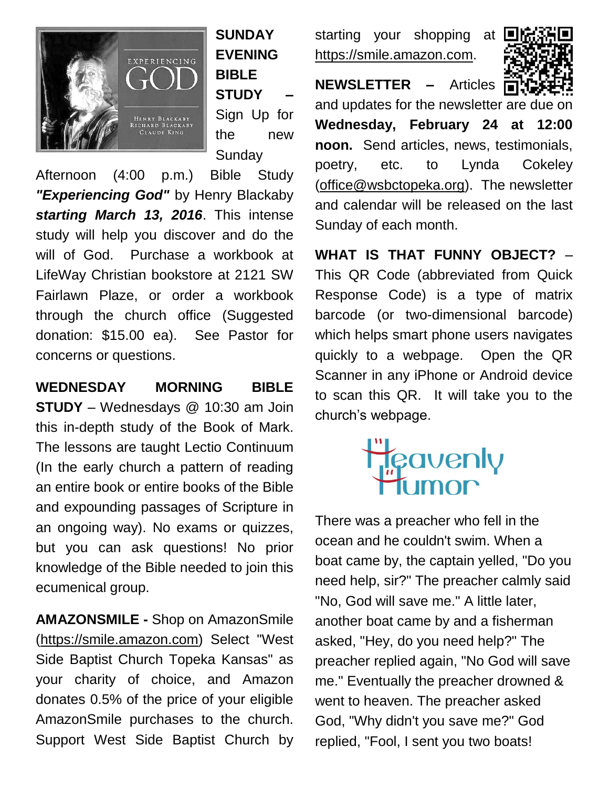

**SUNDAY EVENING BIBLE STUDY –** Sign Up for the new **Sundav** 

Afternoon (4:00 p.m.) Bible Study *"Experiencing God"* by Henry Blackaby *starting March 13, 2016*. This intense study will help you discover and do the will of God. Purchase a workbook at LifeWay Christian bookstore at 2121 SW Fairlawn Plaze, or order a workbook through the church office (Suggested donation: \$15.00 ea). See Pastor for concerns or questions.

**WEDNESDAY MORNING BIBLE STUDY** – Wednesdays @ 10:30 am Join this in-depth study of the Book of Mark. The lessons are taught Lectio Continuum (In the early church a pattern of reading an entire book or entire books of the Bible and expounding passages of Scripture in an ongoing way). No exams or quizzes, but you can ask questions! No prior knowledge of the Bible needed to join this ecumenical group.

**AMAZONSMILE -** Shop on AmazonSmile [\(https://smile.amazon.com\)](https://smile.amazon.com/) Select "West Side Baptist Church Topeka Kansas" as your charity of choice, and Amazon donates 0.5% of the price of your eligible AmazonSmile purchases to the church. Support West Side Baptist Church by starting your shopping at [https://smile.amazon.com.](https://smile.amazon.com/)



**NEWSLETTER –** Articles and updates for the newsletter are due on **Wednesday, February 24 at 12:00 noon.** Send articles, news, testimonials, poetry, etc. to Lynda Cokeley [\(office@wsbctopeka.org\)](mailto:office@wsbctopeka.org). The newsletter and calendar will be released on the last Sunday of each month.

**WHAT IS THAT FUNNY OBJECT?** – This QR Code (abbreviated from Quick Response Code) is a type of matrix barcode (or two-dimensional barcode) which helps smart phone users navigates quickly to a webpage. Open the QR Scanner in any iPhone or Android device to scan this QR. It will take you to the church's webpage.



There was a preacher who fell in the ocean and he couldn't swim. When a boat came by, the captain yelled, "Do you need help, sir?" The preacher calmly said "No, God will save me." A little later, another boat came by and a fisherman asked, "Hey, do you need help?" The preacher replied again, "No God will save me." Eventually the preacher drowned & went to heaven. The preacher asked God, "Why didn't you save me?" God replied, "Fool, I sent you two boats!